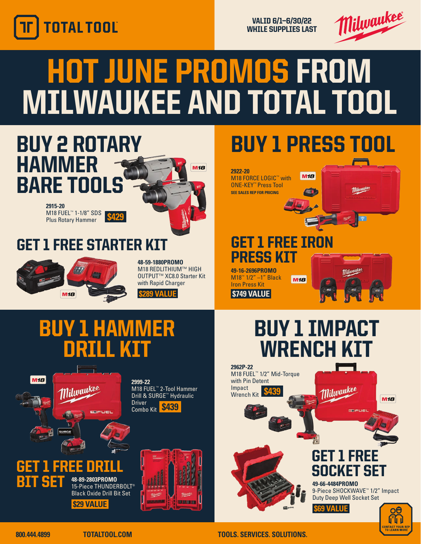

VALID 6/1—6/30/22 WHILE SUPPLIES LAST



## HOT JUNE PROMOS FROM MILWAUKEE AND TOTAL TOOL



**800.444.4899 TOTALTOOL.COM TOOLS. SERVICES. SOLUTIONS.**